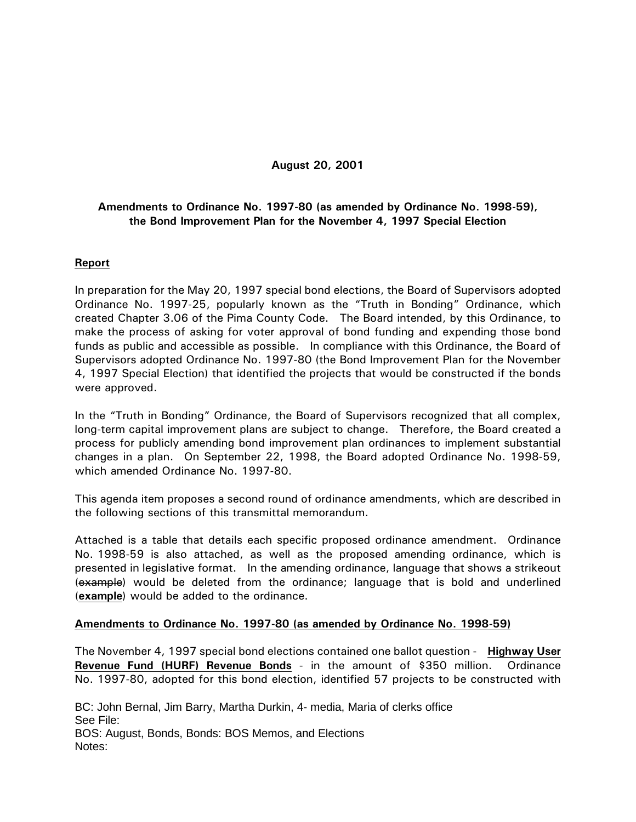## **August 20, 2001**

# **Amendments to Ordinance No. 1997-80 (as amended by Ordinance No. 1998-59), the Bond Improvement Plan for the November 4, 1997 Special Election**

## **Report**

In preparation for the May 20, 1997 special bond elections, the Board of Supervisors adopted Ordinance No. 1997-25, popularly known as the "Truth in Bonding" Ordinance, which created Chapter 3.06 of the Pima County Code. The Board intended, by this Ordinance, to make the process of asking for voter approval of bond funding and expending those bond funds as public and accessible as possible. In compliance with this Ordinance, the Board of Supervisors adopted Ordinance No. 1997-80 (the Bond Improvement Plan for the November 4, 1997 Special Election) that identified the projects that would be constructed if the bonds were approved.

In the "Truth in Bonding" Ordinance, the Board of Supervisors recognized that all complex, long-term capital improvement plans are subject to change. Therefore, the Board created a process for publicly amending bond improvement plan ordinances to implement substantial changes in a plan. On September 22, 1998, the Board adopted Ordinance No. 1998-59, which amended Ordinance No. 1997-80.

This agenda item proposes a second round of ordinance amendments, which are described in the following sections of this transmittal memorandum.

Attached is a table that details each specific proposed ordinance amendment. Ordinance No. 1998-59 is also attached, as well as the proposed amending ordinance, which is presented in legislative format. In the amending ordinance, language that shows a strikeout (example) would be deleted from the ordinance; language that is bold and underlined (**example**) would be added to the ordinance.

### **Amendments to Ordinance No. 1997-80 (as amended by Ordinance No. 1998-59)**

The November 4, 1997 special bond elections contained one ballot question - **Highway User Revenue Fund (HURF) Revenue Bonds** - in the amount of \$350 million. Ordinance No. 1997-80, adopted for this bond election, identified 57 projects to be constructed with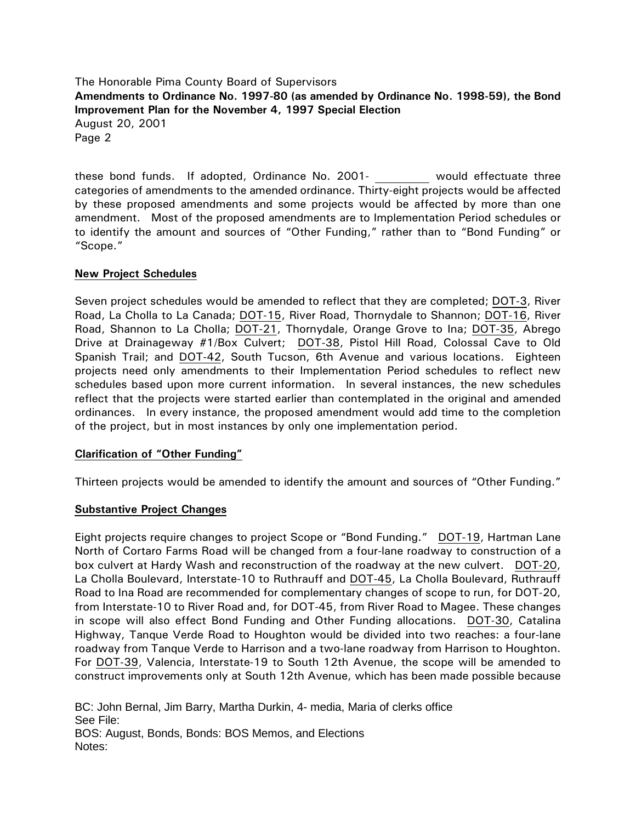The Honorable Pima County Board of Supervisors **Amendments to Ordinance No. 1997-80 (as amended by Ordinance No. 1998-59), the Bond Improvement Plan for the November 4, 1997 Special Election** August 20, 2001 Page 2

these bond funds. If adopted, Ordinance No. 2001- would effectuate three categories of amendments to the amended ordinance. Thirty-eight projects would be affected by these proposed amendments and some projects would be affected by more than one amendment. Most of the proposed amendments are to Implementation Period schedules or to identify the amount and sources of "Other Funding," rather than to "Bond Funding" or "Scope."

## **New Project Schedules**

Seven project schedules would be amended to reflect that they are completed; DOT-3, River Road, La Cholla to La Canada; DOT-15, River Road, Thornydale to Shannon; DOT-16, River Road, Shannon to La Cholla; DOT-21, Thornydale, Orange Grove to Ina; DOT-35, Abrego Drive at Drainageway #1/Box Culvert; DOT-38, Pistol Hill Road, Colossal Cave to Old Spanish Trail; and DOT-42, South Tucson, 6th Avenue and various locations. Eighteen projects need only amendments to their Implementation Period schedules to reflect new schedules based upon more current information. In several instances, the new schedules reflect that the projects were started earlier than contemplated in the original and amended ordinances. In every instance, the proposed amendment would add time to the completion of the project, but in most instances by only one implementation period.

### **Clarification of "Other Funding"**

Thirteen projects would be amended to identify the amount and sources of "Other Funding."

### **Substantive Project Changes**

Eight projects require changes to project Scope or "Bond Funding." DOT-19, Hartman Lane North of Cortaro Farms Road will be changed from a four-lane roadway to construction of a box culvert at Hardy Wash and reconstruction of the roadway at the new culvert. DOT-20, La Cholla Boulevard, Interstate-10 to Ruthrauff and DOT-45, La Cholla Boulevard, Ruthrauff Road to Ina Road are recommended for complementary changes of scope to run, for DOT-20, from Interstate-10 to River Road and, for DOT-45, from River Road to Magee. These changes in scope will also effect Bond Funding and Other Funding allocations. DOT-30, Catalina Highway, Tanque Verde Road to Houghton would be divided into two reaches: a four-lane roadway from Tanque Verde to Harrison and a two-lane roadway from Harrison to Houghton. For DOT-39, Valencia, Interstate-19 to South 12th Avenue, the scope will be amended to construct improvements only at South 12th Avenue, which has been made possible because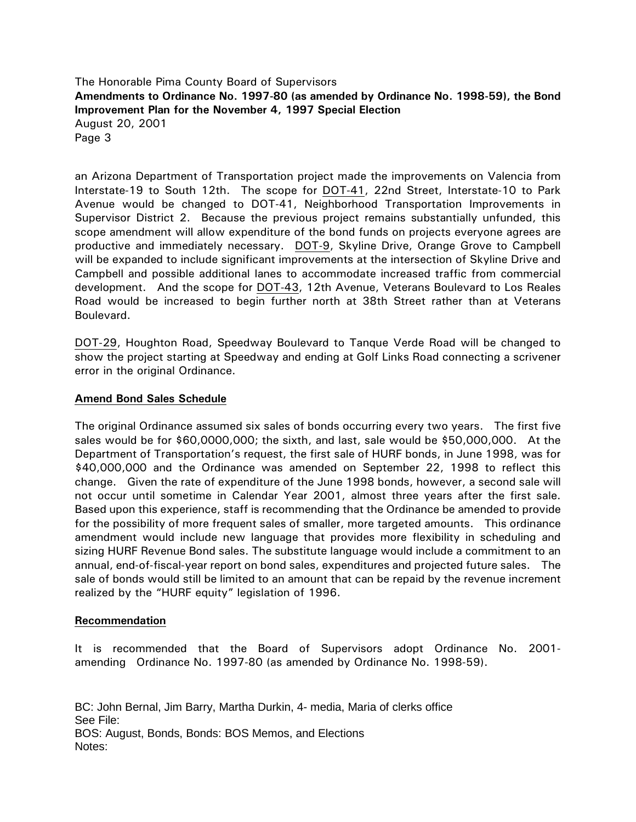The Honorable Pima County Board of Supervisors **Amendments to Ordinance No. 1997-80 (as amended by Ordinance No. 1998-59), the Bond Improvement Plan for the November 4, 1997 Special Election** August 20, 2001 Page 3

an Arizona Department of Transportation project made the improvements on Valencia from Interstate-19 to South 12th. The scope for DOT-41, 22nd Street, Interstate-10 to Park Avenue would be changed to DOT-41, Neighborhood Transportation Improvements in Supervisor District 2. Because the previous project remains substantially unfunded, this scope amendment will allow expenditure of the bond funds on projects everyone agrees are productive and immediately necessary. DOT-9, Skyline Drive, Orange Grove to Campbell will be expanded to include significant improvements at the intersection of Skyline Drive and Campbell and possible additional lanes to accommodate increased traffic from commercial development. And the scope for DOT-43, 12th Avenue, Veterans Boulevard to Los Reales Road would be increased to begin further north at 38th Street rather than at Veterans Boulevard.

DOT-29, Houghton Road, Speedway Boulevard to Tanque Verde Road will be changed to show the project starting at Speedway and ending at Golf Links Road connecting a scrivener error in the original Ordinance.

## **Amend Bond Sales Schedule**

The original Ordinance assumed six sales of bonds occurring every two years. The first five sales would be for \$60,0000,000; the sixth, and last, sale would be \$50,000,000. At the Department of Transportation's request, the first sale of HURF bonds, in June 1998, was for \$40,000,000 and the Ordinance was amended on September 22, 1998 to reflect this change. Given the rate of expenditure of the June 1998 bonds, however, a second sale will not occur until sometime in Calendar Year 2001, almost three years after the first sale. Based upon this experience, staff is recommending that the Ordinance be amended to provide for the possibility of more frequent sales of smaller, more targeted amounts. This ordinance amendment would include new language that provides more flexibility in scheduling and sizing HURF Revenue Bond sales. The substitute language would include a commitment to an annual, end-of-fiscal-year report on bond sales, expenditures and projected future sales. The sale of bonds would still be limited to an amount that can be repaid by the revenue increment realized by the "HURF equity" legislation of 1996.

### **Recommendation**

It is recommended that the Board of Supervisors adopt Ordinance No. 2001 amending Ordinance No. 1997-80 (as amended by Ordinance No. 1998-59).